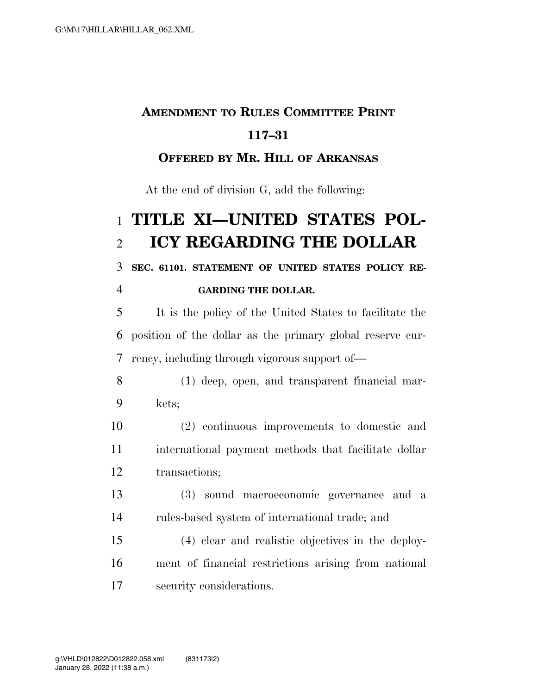# **AMENDMENT TO RULES COMMITTEE PRINT 117–31**

## **OFFERED BY MR. HILL OF ARKANSAS**

At the end of division G, add the following:

# **TITLE XI—UNITED STATES POL-ICY REGARDING THE DOLLAR**

**SEC. 61101. STATEMENT OF UNITED STATES POLICY RE-**

### **GARDING THE DOLLAR.**

 It is the policy of the United States to facilitate the position of the dollar as the primary global reserve cur-rency, including through vigorous support of—

- (1) deep, open, and transparent financial mar-kets;
- (2) continuous improvements to domestic and international payment methods that facilitate dollar transactions;
- (3) sound macroeconomic governance and a rules-based system of international trade; and

 (4) clear and realistic objectives in the deploy- ment of financial restrictions arising from national security considerations.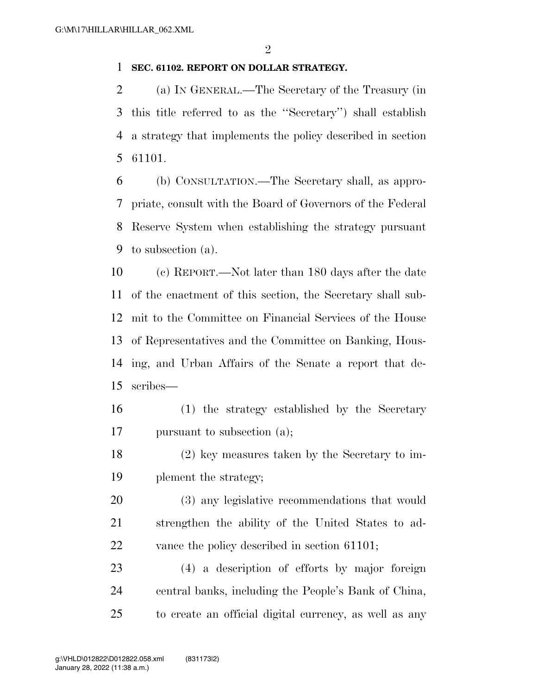#### **SEC. 61102. REPORT ON DOLLAR STRATEGY.**

 (a) IN GENERAL.—The Secretary of the Treasury (in this title referred to as the ''Secretary'') shall establish a strategy that implements the policy described in section 61101.

 (b) CONSULTATION.—The Secretary shall, as appro- priate, consult with the Board of Governors of the Federal Reserve System when establishing the strategy pursuant to subsection (a).

 (c) REPORT.—Not later than 180 days after the date of the enactment of this section, the Secretary shall sub- mit to the Committee on Financial Services of the House of Representatives and the Committee on Banking, Hous- ing, and Urban Affairs of the Senate a report that de-scribes—

 (1) the strategy established by the Secretary pursuant to subsection (a);

 (2) key measures taken by the Secretary to im-plement the strategy;

 (3) any legislative recommendations that would strengthen the ability of the United States to ad-22 vance the policy described in section 61101;

 (4) a description of efforts by major foreign central banks, including the People's Bank of China, to create an official digital currency, as well as any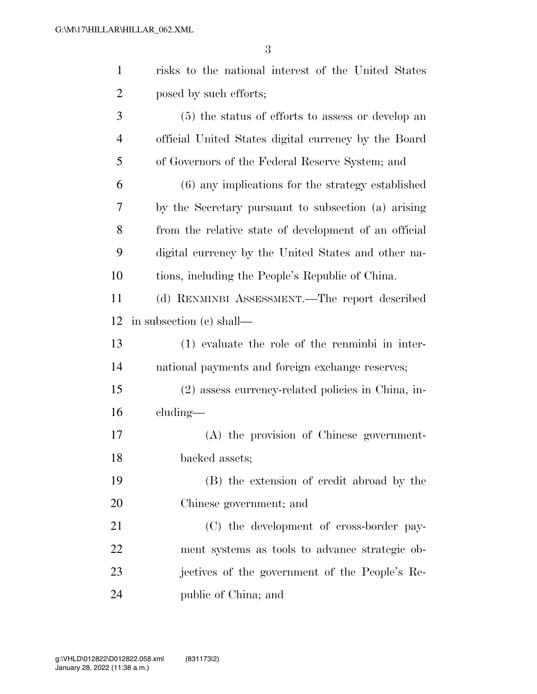| $\mathbf{1}$   | risks to the national interest of the United States   |
|----------------|-------------------------------------------------------|
| $\overline{2}$ | posed by such efforts;                                |
| 3              | (5) the status of efforts to assess or develop an     |
| $\overline{4}$ | official United States digital currency by the Board  |
| 5              | of Governors of the Federal Reserve System; and       |
| 6              | (6) any implications for the strategy established     |
| 7              | by the Secretary pursuant to subsection (a) arising   |
| 8              | from the relative state of development of an official |
| 9              | digital currency by the United States and other na-   |
| 10             | tions, including the People's Republic of China.      |
| 11             | (d) RENMINBI ASSESSMENT.—The report described         |
| 12             | in subsection (c) shall—                              |
| 13             | $(1)$ evaluate the role of the renminbi in inter-     |
| 14             | national payments and foreign exchange reserves;      |
| 15             | $(2)$ assess currency-related policies in China, in-  |
| 16             | cluding—                                              |
| 17             | (A) the provision of Chinese government-              |
| 18             | backed assets;                                        |
| 19             | (B) the extension of credit abroad by the             |
| 20             | Chinese government; and                               |
| 21             | (C) the development of cross-border pay-              |
| 22             | ment systems as tools to advance strategic ob-        |
| 23             | jectives of the government of the People's Re-        |
| 24             | public of China; and                                  |